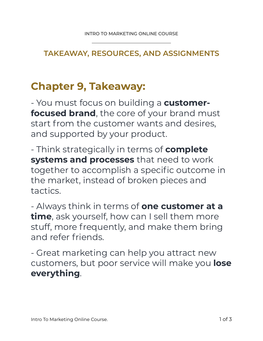## **TAKEAWAY, RESOURCES, AND ASSIGNMENTS**

## **Chapter 9, Takeaway:**

- You must focus on building a **customerfocused brand**, the core of your brand must start from the customer wants and desires, and supported by your product.

- Think strategically in terms of **complete systems and processes** that need to work together to accomplish a specific outcome in the market, instead of broken pieces and tactics.

- Always think in terms of **one customer at a time**, ask yourself, how can I sell them more stuff, more frequently, and make them bring and refer friends.

- Great marketing can help you attract new customers, but poor service will make you **lose everything**.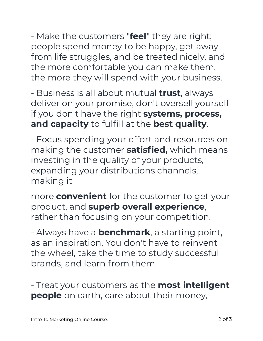- Make the customers "**feel**" they are right; people spend money to be happy, get away from life struggles, and be treated nicely, and the more comfortable you can make them, the more they will spend with your business.

- Business is all about mutual **trust**, always deliver on your promise, don't oversell yourself if you don't have the right **systems, process, and capacity** to fulfill at the **best quality**.

- Focus spending your effort and resources on making the customer **satisfied,** which means investing in the quality of your products, expanding your distributions channels, making it

more **convenient** for the customer to get your product, and **superb overall experience**, rather than focusing on your competition.

- Always have a **benchmark**, a starting point, as an inspiration. You don't have to reinvent the wheel, take the time to study successful brands, and learn from them.

- Treat your customers as the **most intelligent people** on earth, care about their money,